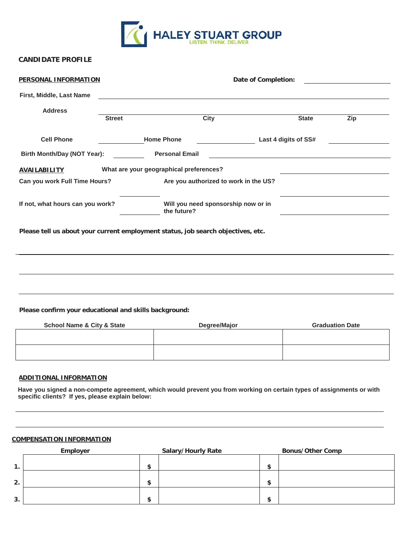

## **CANDIDATE PROFILE**

| <b>PERSONAL INFORMATION</b>                                                      | Date of Completion:<br><u> 1980 - Jan Stein Harry Harry Harry Harry Harry Harry Harry Harry Harry Harry Harry Harry Harry Harry</u> |                                                    |               |                      |                                                                                           |
|----------------------------------------------------------------------------------|-------------------------------------------------------------------------------------------------------------------------------------|----------------------------------------------------|---------------|----------------------|-------------------------------------------------------------------------------------------|
| First, Middle, Last Name                                                         |                                                                                                                                     |                                                    |               |                      |                                                                                           |
| <b>Address</b>                                                                   |                                                                                                                                     |                                                    |               |                      |                                                                                           |
|                                                                                  | <b>Street</b>                                                                                                                       | City                                               |               | <b>State</b>         | Zip                                                                                       |
| <b>Cell Phone</b>                                                                |                                                                                                                                     | <b>Home Phone</b>                                  | $\frac{1}{2}$ | Last 4 digits of SS# |                                                                                           |
| Birth Month/Day (NOT Year):                                                      |                                                                                                                                     | <b>Personal Email</b>                              |               |                      |                                                                                           |
| <b>AVAILABILITY</b>                                                              |                                                                                                                                     | What are your geographical preferences?            |               |                      |                                                                                           |
| Can you work Full Time Hours?                                                    |                                                                                                                                     | Are you authorized to work in the US?              |               |                      |                                                                                           |
| If not, what hours can you work?                                                 |                                                                                                                                     | Will you need sponsorship now or in<br>the future? |               |                      | the control of the control of the control of the control of the control of the control of |
| Please tell us about your current employment status, job search objectives, etc. |                                                                                                                                     |                                                    |               |                      |                                                                                           |
|                                                                                  |                                                                                                                                     |                                                    |               |                      |                                                                                           |
|                                                                                  |                                                                                                                                     |                                                    |               |                      |                                                                                           |
|                                                                                  |                                                                                                                                     |                                                    |               |                      |                                                                                           |
|                                                                                  |                                                                                                                                     |                                                    |               |                      |                                                                                           |
|                                                                                  |                                                                                                                                     |                                                    |               |                      |                                                                                           |

**Please confirm your educational and skills background:**

| <b>School Name &amp; City &amp; State</b> | Degree/Major | <b>Graduation Date</b> |
|-------------------------------------------|--------------|------------------------|
|                                           |              |                        |
|                                           |              |                        |
|                                           |              |                        |
|                                           |              |                        |
|                                           |              |                        |

## **ADDITIONAL INFORMATION**

**Have you signed a non-compete agreement, which would prevent you from working on certain types of assignments or with specific clients? If yes, please explain below:**

## **COMPENSATION INFORMATION**

|                | Employer |         | <b>Salary/Hourly Rate</b> |           | <b>Bonus/Other Comp</b> |
|----------------|----------|---------|---------------------------|-----------|-------------------------|
| $\mathbf{1}$ . |          | œ<br>мB |                           | æ<br>- 13 |                         |
| 2.             |          | œ<br>ъ  |                           | œ<br>-D   |                         |
| 3.             |          | œ<br>æ  |                           | œ<br>-D   |                         |